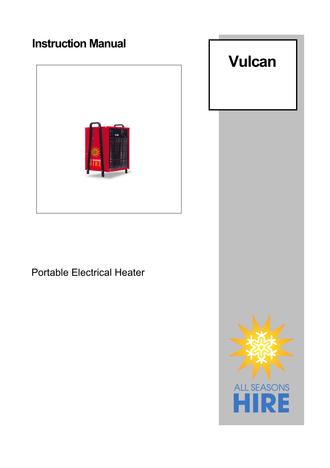## **Instruction Manual**



Portable Electrical Heater

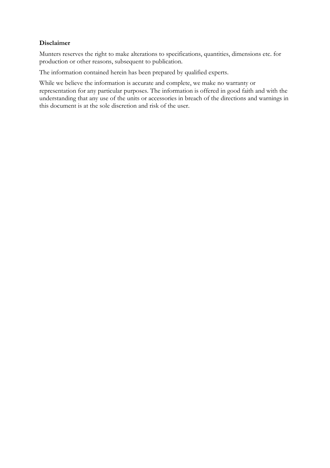## **Disclaimer**

Munters reserves the right to make alterations to specifications, quantities, dimensions etc. for production or other reasons, subsequent to publication.

The information contained herein has been prepared by qualified experts.

While we believe the information is accurate and complete, we make no warranty or representation for any particular purposes. The information is offered in good faith and with the understanding that any use of the units or accessories in breach of the directions and warnings in this document is at the sole discretion and risk of the user.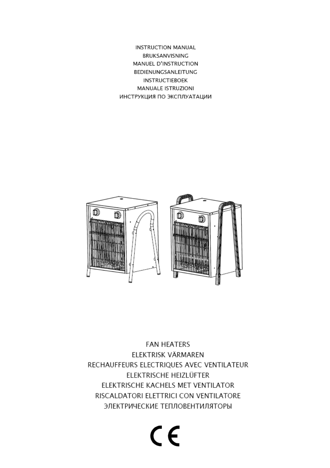**INSTRUCTION MANUAL** BRUKSANVISNING MANUEL D'INSTRUCTION BEDIENUNGSANLEITUNG **INSTRUCTIEBOEK** MANUALE ISTRUZIONI ИНСТРУКЦИЯ ПО ЭКСПЛУАТАЦИИ



**FAN HEATERS** ELEKTRISK VÄRMAREN RECHAUFFEURS ELECTRIQUES AVEC VENTILATEUR ELEKTRISCHE HEIZLÜFTER ELEKTRISCHE KACHELS MET VENTILATOR RISCALDATORI ELETTRICI CON VENTILATORE ЭЛЕКТРИЧЕСКИЕ ТЕПЛОВЕНТИЛЯТОРЫ

# $C \in$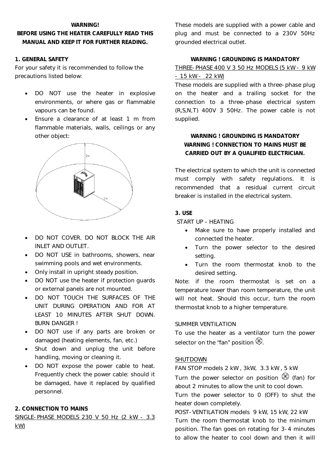#### **WARNING!**

## **BEFORE USING THE HEATER CAREFULLY READ THIS MANUAL AND KEEP IT FOR FURTHER READING.**

## **1. GENERAL SAFETY**

For your safety it is recommended to follow the precautions listed below:

- DO NOT use the heater in explosive environments, or where gas or flammable vapours can be found.
- Ensure a clearance of at least 1 m from flammable materials, walls, ceilings or any other object:



- DO NOT COVER. DO NOT BLOCK THE AIR INLET AND OUTLET.
- DO NOT USE in bathrooms, showers, near swimming pools and wet environments.
- Only install in upright steady position.
- DO NOT use the heater if protection guards or external panels are not mounted.
- DO NOT TOUCH THE SURFACES OF THE UNIT DURING OPERATION AND FOR AT LEAST 10 MINUTES AFTER SHUT DOWN. BURN DANGER !
- DO NOT use if any parts are broken or damaged (heating elements, fan, etc.)
- Shut down and unplug the unit before handling, moving or cleaning it.
- DO NOT expose the power cable to heat. Frequently check the power cable: should it be damaged, have it replaced by qualified personnel.

## **2. CONNECTION TO MAINS**

SINGLE-PHASE MODELS 230 V 50 Hz (2 kW - 3.3 kW)

These models are supplied with a power cable and plug and must be connected to a 230V 50Hz grounded electrical outlet.

## **WARNING ! GROUNDING IS MANDATORY**

#### THREE-PHASE 400 V 3 50 Hz MODELS (5 kW - 9 kW - 15 kW - 22 kW)

These models are supplied with a three-phase plug on the heater and a trailing socket for the connection to a three-phase electrical system (R,S,N,T) 400V 3 50Hz. The power cable is not supplied.

## **WARNING ! GROUNDING IS MANDATORY WARNING ! CONNECTION TO MAINS MUST BE CARRIED OUT BY A QUALIFIED ELECTRICIAN.**

The electrical system to which the unit is connected must comply with safety regulations. It is recommended that a residual current circuit breaker is installed in the electrical system.

#### **3. USE**

START UP – HEATING

- Make sure to have properly installed and connected the heater.
- Turn the power selector to the desired setting.
- Turn the room thermostat knob to the desired setting.

Note: if the room thermostat is set on a temperature lower than room temperature, the unit will not heat. Should this occur, turn the room thermostat knob to a higher temperature.

## SUMMER VENTILATION

To use the heater as a ventilator turn the power selector on the "fan" position  $\mathcal{L}$ .

## SHUTDOWN

FAN STOP models 2 kW , 3kW, 3.3 kW , 5 kW

Turn the power selector on position  $\mathscr G$  (fan) for about 2 minutes to allow the unit to cool down.

Turn the power selector to 0 (OFF) to shut the heater down completely.

POST-VENTILATION models 9 kW, 15 kW, 22 kW Turn the room thermostat knob to the minimum position. The fan goes on rotating for 3-4 minutes to allow the heater to cool down and then it will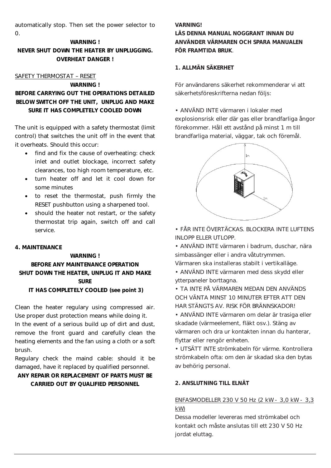automatically stop. Then set the power selector to 0.

## **WARNING ! NEVER SHUT DOWN THE HEATER BY UNPLUGGING. OVERHEAT DANGER !**

#### SAFETY THERMOSTAT – RESET

## **WARNING ! BEFORE CARRYING OUT THE OPERATIONS DETAILED BELOW SWITCH OFF THE UNIT, UNPLUG AND MAKE SURE IT HAS COMPLETELY COOLED DOWN**

The unit is equipped with a safety thermostat (limit control) that switches the unit off in the event that it overheats. Should this occur:

- find and fix the cause of overheating: check inlet and outlet blockage, incorrect safety clearances, too high room temperature, etc.
- turn heater off and let it cool down for some minutes
- to reset the thermostat, push firmly the RESET pushbutton using a sharpened tool.
- should the heater not restart, or the safety thermostat trip again, switch off and call service.

## **4. MAINTENANCE**

## **WARNING ! BEFORE ANY MAINTENANCE OPERATION SHUT DOWN THE HEATER, UNPLUG IT AND MAKE SURE IT HAS COMPLETELY COOLED (see point 3)**

Clean the heater regulary using compressed air. Use proper dust protection means while doing it. In the event of a serious build up of dirt and dust, remove the front guard and carefully clean the heating elements and the fan using a cloth or a soft brush.

Regulary check the maind cable: should it be damaged, have it replaced by qualified personnel.

## **ANY REPAIR OR REPLACEMENT OF PARTS MUST BE CARRIED OUT BY QUALIFIED PERSONNEL**

## **VARNING!**

**LÄS DENNA MANUAL NOGGRANT INNAN DU ANVÄNDER VÄRMAREN OCH SPARA MANUALEN FÖR FRAMTIDA BRUK**.

## **1. ALLMÄN SÄKERHET**

För användarens säkerhet rekommenderar vi att säkerhetsföreskrifterna nedan följs:

• ANVÄND INTE värmaren i lokaler med explosionsrisk eller där gas eller brandfarliga ångor förekommer. Håll ett avstånd på minst 1 m till brandfarliga material, väggar, tak och föremål.



• FÅR INTE ÖVERTÄCKAS. BLOCKERA INTE LUFTENS INLOPP ELLER UTLOPP.

• ANVÄND INTE värmaren i badrum, duschar, nära simbassänger eller i andra våtutrymmen.

Värmaren ska installeras stabilt i vertikalläge.

• ANVÄND INTE värmaren med dess skydd eller ytterpaneler borttagna.

- TA INTE PÅ VÄRMAREN MEDAN DEN ANVÄNDS OCH VÄNTA MINST 10 MINUTER EFTER ATT DEN HAR STÄNGTS AV. RISK FÖR BRÄNNSKADOR!
- ANVÄND INTE värmaren om delar är trasiga eller skadade (värmeelement, fläkt osv.). Stäng av värmaren och dra ur kontakten innan du hanterar, flyttar eller rengör enheten.

• UTSÄTT INTE strömkabeln för värme. Kontrollera strömkabeln ofta: om den är skadad ska den bytas av behörig personal.

## **2. ANSLUTNING TILL ELNÄT**

## ENFASMODELLER 230 V 50 Hz (2 kW - 3,0 kW - 3,3 kW)

Dessa modeller levereras med strömkabel och kontakt och måste anslutas till ett 230 V 50 Hz jordat eluttag.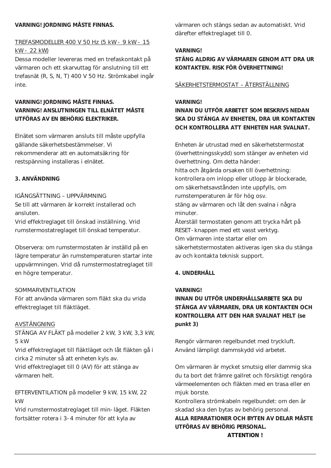#### **VARNING! JORDNING MÅSTE FINNAS.**

## TREFASMODELLER 400 V 50 Hz (5 kW - 9 kW - 15 kW - 22 kW)

Dessa modeller levereras med en trefaskontakt på värmaren och ett skarvuttag för anslutning till ett trefasnät (R, S, N, T) 400 V 50 Hz. Strömkabel ingår inte.

## **VARNING! JORDNING MÅSTE FINNAS. VARNING! ANSLUTNINGEN TILL ELNÄTET MÅSTE UTFÖRAS AV EN BEHÖRIG ELEKTRIKER.**

Elnätet som värmaren ansluts till måste uppfylla gällande säkerhetsbestämmelser. Vi rekommenderar att en automatsäkring för restspänning installeras i elnätet.

## **3. ANVÄNDNING**

## IGÅNGSÄTTNING – UPPVÄRMNING Se till att värmaren är korrekt installerad och ansluten.

Vrid effektreglaget till önskad inställning. Vrid rumstermostatreglaget till önskad temperatur.

Observera: om rumstermostaten är inställd på en lägre temperatur än rumstemperaturen startar inte uppvärmningen. Vrid då rumstermostatreglaget till en högre temperatur.

## SOMMARVENTILATION

För att använda värmaren som fläkt ska du vrida effektreglaget till fläktläget.

## AVSTÄNGNING

STÄNGA AV FLÄKT på modeller 2 kW, 3 kW, 3,3 kW, 5 kW

Vrid effektreglaget till fläktläget och låt fläkten gå i cirka 2 minuter så att enheten kyls av.

Vrid effektreglaget till 0 (AV) för att stänga av värmaren helt.

EFTERVENTILATION på modeller 9 kW, 15 kW, 22 kW

Vrid rumstermostatreglaget till min-läget. Fläkten fortsätter rotera i 3-4 minuter för att kyla av

värmaren och stängs sedan av automatiskt. Vrid därefter effektreglaget till 0.

## **VARNING!**

## **STÄNG ALDRIG AV VÄRMAREN GENOM ATT DRA UR KONTAKTEN. RISK FÖR ÖVERHETTNING!**

## SÄKERHETSTERMOSTAT – ÅTERSTÄLLNING

## **VARNING!**

## **INNAN DU UTFÖR ARBETET SOM BESKRIVS NEDAN SKA DU STÄNGA AV ENHETEN, DRA UR KONTAKTEN OCH KONTROLLERA ATT ENHETEN HAR SVALNAT.**

Enheten är utrustad med en säkerhetstermostat (överhettningsskydd) som stänger av enheten vid överhettning. Om detta händer: hitta och åtgärda orsaken till överhettning: kontrollera om inlopp eller utlopp är blockerade, om säkerhetsavstånden inte uppfylls, om rumstemperaturen är för hög osv. stäng av värmaren och låt den svalna i några minuter. Återställ termostaten genom att trycka hårt på RESET-knappen med ett vasst verktyg. Om värmaren inte startar eller om säkerhetstermostaten aktiveras igen ska du stänga av och kontakta teknisk support.

## **4. UNDERHÅLL**

## **VARNING!**

## **INNAN DU UTFÖR UNDERHÅLLSARBETE SKA DU STÄNGA AV VÄRMAREN, DRA UR KONTAKTEN OCH KONTROLLERA ATT DEN HAR SVALNAT HELT (se punkt 3)**

Rengör värmaren regelbundet med tryckluft. Använd lämpligt dammskydd vid arbetet.

Om värmaren är mycket smutsig eller dammig ska du ta bort det främre gallret och försiktigt rengöra värmeelementen och fläkten med en trasa eller en mjuk borste.

Kontrollera strömkabeln regelbundet: om den är skadad ska den bytas av behörig personal.

**ALLA REPARATIONER OCH BYTEN AV DELAR MÅSTE UTFÖRAS AV BEHÖRIG PERSONAL. ATTENTION !**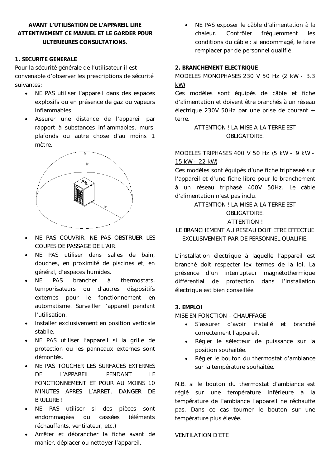## **AVANT L'UTILISATION DE L'APPAREIL LIRE ATTENTIVEMENT CE MANUEL ET LE GARDER POUR ULTERIEURES CONSULTATIONS.**

## **1. SECURITE GENERALE**

Pour la sécurité générale de l'utilisateur il est convenable d'observer les prescriptions de sécurité suivantes:

- NE PAS utiliser l'appareil dans des espaces explosifs ou en présence de gaz ou vapeurs inflammables.
- Assurer une distance de l'appareil par rapport à substances inflammables, murs, plafonds ou autre chose d'au moins 1 mètre.



- NE PAS COUVRIR. NE PAS OBSTRUER LES COUPES DE PASSAGE DE L'AIR.
- NE PAS utiliser dans salles de bain, douches, en proximité de piscines et, en général, d'espaces humides.
- NE PAS brancher à thermostats, temporisateurs ou d'autres dispositifs externes pour le fonctionnement en automatisme. Surveiller l'appareil pendant l'utilisation.
- Installer exclusivement en position verticale stabile.
- NE PAS utiliser l'appareil si la grille de protection ou les panneaux externes sont démontés.
- NE PAS TOUCHER LES SURFACES EXTERNES DE L'APPAREIL PENDANT LE FONCTIONNEMENT ET POUR AU MOINS 10 MINUTES APRES L'ARRET. DANGER DE BRULURE !
- NE PAS utiliser si des pièces sont endommagées ou cassées (éléments réchauffants, ventilateur, etc.)
- Arrêter et débrancher la fiche avant de manier, déplacer ou nettoyer l'appareil.

 NE PAS exposer le câble d'alimentation à la chaleur. Contrôler fréquemment les conditions du câble : si endommagé, le faire remplacer par de personnel qualifié.

#### **2. BRANCHEMENT ELECTRIQUE**

## MODELES MONOPHASES 230 V 50 Hz (2 kW - 3.3 kW)

Ces modèles sont équipés de câble et fiche d'alimentation et doivent être branchés à un réseau électrique 230V 50Hz par une prise de courant  $+$ terre.

## ATTENTION ! LA MISE A LA TERRE EST OBLIGATOIRE

## MODELES TRIPHASES 400 V 50 Hz (5 kW - 9 kW - 15 kW - 22 kW)

Ces modèles sont équipés d'une fiche triphaseé sur l'appareil et d'une fiche libre pour le branchement à un réseau triphasé 400V 50Hz. Le câble d'alimentation n'est pas inclu.

## ATTENTION ! LA MISE A LA TERRE EST OBLIGATOIRE. ATTENTION !

## LE BRANCHEMENT AU RESEAU DOIT ETRE EFFECTUE EXCLUSIVEMENT PAR DE PERSONNEL QUALIFIE.

L'installation électrique à laquelle l'appareil est branché doit respecter lex termes de la loi. La présence d'un interrupteur magnétothermique différential de protection dans l'installation électrique est bien conseillée.

#### **3. EMPLOI**

MISE EN FONCTION – CHAUFFAGE

- S'assurer d'avoir installé et branché correctement l'appareil.
- Régler le sélecteur de puissance sur la position souhaitée.
- Régler le bouton du thermostat d'ambiance sur la température souhaitée.

N.B. si le bouton du thermostat d'ambiance est réglé sur une température inférieure à la température de l'ambiance l'appareil ne réchauffe pas. Dans ce cas tourner le bouton sur une température plus élevée.

## VENTILATION D'ETE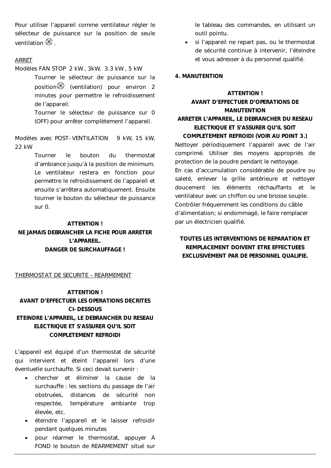Pour utiliser l'appareil comme ventilateur régler le sélecteur de puissance sur la position de seule ventilation  $\otimes$ 

## ARRET

- Modèles FAN STOP 2 kW , 3kW, 3.3 kW , 5 kW
	- Tourner le sélecteur de puissance sur la position $\otimes$  (ventilation) pour environ 2 minutes pour permettre le refroidissement de l'appareil.

Tourner le sélecteur de puissance sur 0 (OFF) pour arrêter complètement l'appareil.

Modèles avec POST-VENTILATION 9 kW, 15 kW, 22 kW

> Tourner le bouton du thermostat d'ambiance jusqu'à la position de minimum. Le ventilateur restera en fonction pour permettre le refroidissement de l'appareil et ensuite s'arrêtera automatiquement. Ensuite tourner le bouton du sélecteur de puissance sur 0.

#### **ATTENTION !**

**NE JAMAIS DEBRANCHER LA FICHE POUR ARRETER L'APPAREIL. DANGER DE SURCHAUFFAGE !**

THERMOSTAT DE SECURITE – REARMEMENT

## **ATTENTION ! AVANT D'EFFECTUER LES OPERATIONS DECRITES CI-DESSOUS ETEINDRE L'APPAREIL, LE DEBRANCHER DU RESEAU ELECTRIQUE ET S'ASSURER QU'IL SOIT COMPLETEMENT REFROIDI**

L'appareil est équipé d'un thermostat de sécurité qui intervient et éteint l'appareil lors d'une éventuelle surchauffe. Si ceci devait survenir :

- chercher et éliminer la cause de la surchauffe : les sections du passage de l'air obstruées, distances de sécurité non respectée, température ambiante trop élevée, etc.
- éteindre l'appareil et le laisser refroidir pendant quelques minutes
- pour réarmer le thermostat, appuyer A FOND le bouton de REARMEMENT situé sur

le tableau des commandes, en utilisant un outil pointu.

 si l'appareil ne repart pas, ou le thermostat de sécurité continue à intervenir, l'éteindre et vous adresser à du personnel qualifié.

#### **4. MANUTENTION**

## **ATTENTION ! AVANT D'EFFECTUER D'OPERATIONS DE MANUTENTION ARRETER L'APPAREIL, LE DEBRANCHER DU RESEAU ELECTRIQUE ET S'ASSURER QU'IL SOIT COMPLETEMENT REFROIDI (VOIR AU POINT 3.)**

Nettoyer périodiquement l'appareil avec de l'air comprimé. Utiliser des moyens appropriés de protection de la poudre pendant le nettoyage. En cas d'accumulation considérable de poudre ou saleté, enlever la grille antérieure et nettoyer doucement les éléments réchauffants et le ventilateur avec un chiffon ou une brosse souple. Contrôler fréquemment les conditions du câble d'alimentation; si endommagé, le faire remplacer par un électricien qualifié.

## **TOUTES LES INTERVENTIONS DE REPARATION ET REMPLACEMENT DOIVENT ETRE EFFECTUEES EXCLUSIVEMENT PAR DE PERSONNEL QUALIFIE.**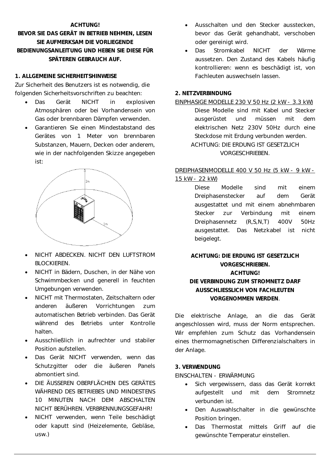#### **ACHTUNG!**

## **BEVOR SIE DAS GERÄT IN BETRIEB NEHMEN, LESEN SIE AUFMERKSAM DIE VORLIEGENDE BEDIENUNGSANLEITUNG UND HEBEN SIE DIESE FÜR SPÄTEREN GEBRAUCH AUF.**

#### **1. ALLGEMEINE SICHERHEITSHINWEISE**

Zur Sicherheit des Benutzers ist es notwendig, die folgenden Sicherheitsvorschriften zu beachten:

- Das Gerät NICHT in explosiven Atmosphären oder bei Vorhandensein von Gas oder brennbaren Dämpfen verwenden.
- Garantieren Sie einen Mindestabstand des Gerätes von 1 Meter von brennbaren Substanzen, Mauern, Decken oder anderem, wie in der nachfolgenden Skizze angegeben ist:



- NICHT ABDECKEN. NICHT DEN LUFTSTROM BLOCKIEREN.
- NICHT in Bädern, Duschen, in der Nähe von Schwimmbecken und generell in feuchten Umgebungen verwenden.
- NICHT mit Thermostaten, Zeitschaltern oder anderen äußeren Vorrichtungen zum automatischen Betrieb verbinden. Das Gerät während des Betriebs unter Kontrolle halten.
- Ausschließlich in aufrechter und stabiler Position aufstellen.
- Das Gerät NICHT verwenden, wenn das Schutzgitter oder die äußeren Panels abmontiert sind.
- DIE ÄUSSEREN OBERFLÄCHEN DES GERÄTES WÄHREND DES BETRIEBES UND MINDESTENS 10 MINUTEN NACH DEM ABSCHALTEN NICHT BERÜHREN. VERBRENNUNGSGEFAHR!
- NICHT verwenden, wenn Teile beschädigt oder kaputt sind (Heizelemente, Gebläse, usw.)
- Ausschalten und den Stecker ausstecken, bevor das Gerät gehandhabt, verschoben oder gereinigt wird.
- Das Stromkabel NICHT der Wärme aussetzen. Den Zustand des Kabels häufig kontrollieren: wenn es beschädigt ist, von Fachleuten auswechseln lassen.

## **2. NETZVERBINDUNG**

#### EINPHASIGE MODELLE 230 V 50 Hz (2 kW - 3.3 kW)

Diese Modelle sind mit Kabel und Stecker ausgerüstet und müssen mit dem elektrischen Netz 230V 50Hz durch eine Steckdose mit Erdung verbunden werden. ACHTUNG: DIE ERDUNG IST GESETZLICH VORGESCHRIEBEN.

## DREIPHASENMODELLE 400 V 50 Hz (5 kW - 9 kW -

15 kW - 22 kW)

Diese Modelle sind mit einem Dreiphasenstecker auf dem Gerät ausgestattet und mit einem abnehmbaren Stecker zur Verbindung mit einem Dreiphasennetz (R,S,N,T) 400V 50Hz ausgestattet. Das Netzkabel ist nicht beigelegt.

## **ACHTUNG: DIE ERDUNG IST GESETZLICH VORGESCHRIEBEN. ACHTUNG! DIE VERBINDUNG ZUM STROMNETZ DARF AUSSCHLIESSLICH VON FACHLEUTEN VORGENOMMEN WERDEN**.

Die elektrische Anlage, an die das Gerät angeschlossen wird, muss der Norm entsprechen. Wir empfehlen zum Schutz das Vorhandensein eines thermomagnetischen Differenzialschalters in der Anlage.

## **3. VERWENDUNG**

EINSCHALTEN - ERWÄRMUNG

- Sich vergewissern, dass das Gerät korrekt aufgestellt und mit dem Stromnetz verbunden ist.
- Den Auswahlschalter in die gewünschte Position bringen.
- Das Thermostat mittels Griff auf die gewünschte Temperatur einstellen.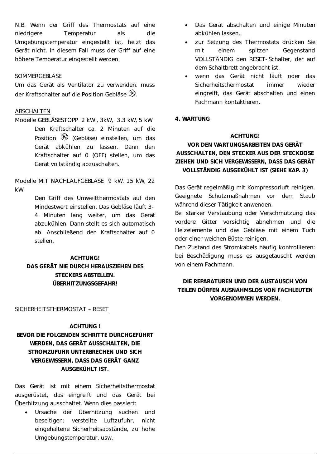N.B. Wenn der Griff des Thermostats auf eine niedrigere Temperatur als die Umgebungstemperatur eingestellt ist, heizt das Gerät nicht. In diesem Fall muss der Griff auf eine höhere Temperatur eingestellt werden.

#### SOMMERGEBLÄSE

Um das Gerät als Ventilator zu verwenden, muss der Kraftschalter auf die Position Gebläse  $\mathscr{\mathbb{R}}$ 

#### ABSCHALTEN

Modelle GEBLÄSESTOPP 2 kW , 3kW, 3.3 kW, 5 kW Den Kraftschalter ca. 2 Minuten auf die Position  $\mathscr B$  (Gebläse) einstellen, um das Gerät abkühlen zu lassen. Dann den Kraftschalter auf 0 (OFF) stellen, um das Gerät vollständig abzuschalten.

Modelle MIT NACHLAUFGEBLÄSE 9 kW, 15 kW, 22 kW

> Den Griff des Umweltthermostats auf den Mindestwert einstellen. Das Gebläse läuft 3- 4 Minuten lang weiter, um das Gerät abzukühlen. Dann stellt es sich automatisch ab. Anschließend den Kraftschalter auf 0 stellen.

## **ACHTUNG! DAS GERÄT NIE DURCH HERAUSZIEHEN DES STECKERS ABSTELLEN. ÜBERHITZUNGSGEFAHR!**

- Das Gerät abschalten und einige Minuten abkühlen lassen.
- zur Setzung des Thermostats drücken Sie mit einem spitzen Gegenstand VOLLSTÄNDIG den RESET-Schalter, der auf dem Schaltbrett angebracht ist.
- wenn das Gerät nicht läuft oder das Sicherheitsthermostat immer wieder eingreift, das Gerät abschalten und einen Fachmann kontaktieren.

#### **4. WARTUNG**

## **ACHTUNG!**

## **VOR DEN WARTUNGSARBEITEN DAS GERÄT AUSSCHALTEN, DEN STECKER AUS DER STECKDOSE ZIEHEN UND SICH VERGEWISSERN, DASS DAS GERÄT VOLLSTÄNDIG AUSGEKÜHLT IST (SIEHE KAP. 3)**

Das Gerät regelmäßig mit Kompressorluft reinigen. Geeignete Schutzmaßnahmen vor dem Staub während dieser Tätigkeit anwenden.

Bei starker Verstaubung oder Verschmutzung das vordere Gitter vorsichtig abnehmen und die Heizelemente und das Gebläse mit einem Tuch oder einer weichen Büste reinigen.

Den Zustand des Stromkabels häufig kontrollieren: bei Beschädigung muss es ausgetauscht werden von einem Fachmann.

## **DIE REPARATUREN UND DER AUSTAUSCH VON TEILEN DÜRFEN AUSNAHMSLOS VON FACHLEUTEN VORGENOMMEN WERDEN.**

#### SICHERHEITSTHERMOSTAT – RESET

#### **ACHTUNG !**

## **BEVOR DIE FOLGENDEN SCHRITTE DURCHGEFÜHRT WERDEN, DAS GERÄT AUSSCHALTEN, DIE STROMZUFUHR UNTERBRECHEN UND SICH VERGEWISSERN, DASS DAS GERÄT GANZ AUSGEKÜHLT IST.**

Das Gerät ist mit einem Sicherheitsthermostat ausgerüstet, das eingreift und das Gerät bei Überhitzung ausschaltet. Wenn dies passiert:

 Ursache der Überhitzung suchen und beseitigen: verstellte Luftzufuhr, nicht eingehaltene Sicherheitsabstände, zu hohe Umgebungstemperatur, usw.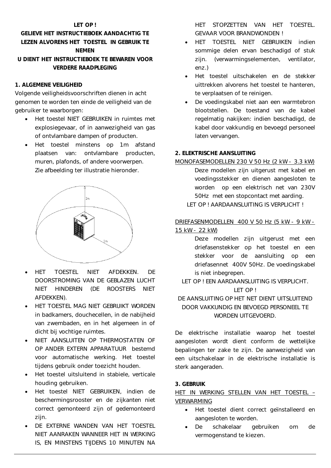#### **LET OP !**

## **GELIEVE HET INSTRUCTIEBOEK AANDACHTIG TE LEZEN ALVORENS HET TOESTEL IN GEBRUIK TE NEMEN U DIENT HET INSTRUCTIEBOEK TE BEWAREN VOOR**

**VERDERE RAADPLEGING** 

## **1. ALGEMENE VEILIGHEID**

Volgende veiligheidsvoorschriften dienen in acht genomen te worden ten einde de veiligheid van de gebruiker te waarborgen:

- Het toestel NIET GEBRUIKEN in ruimtes met explosiegevaar, of in aanwezigheid van gas of ontvlambare dampen of producten.
- Het toestel minstens op 1m afstand plaatsen van: ontvlambare producten, muren, plafonds, of andere voorwerpen. Zie afbeelding ter illustratie hieronder.



- HET TOESTEL NIET AFDEKKEN. DE DOORSTROMING VAN DE GEBLAZEN LUCHT NIET HINDEREN (DE ROOSTERS NIET AFDEKKEN).
- HET TOESTEL MAG NIET GEBRUIKT WORDEN in badkamers, douchecellen, in de nabijheid van zwembaden, en in het algemeen in of dicht bij vochtige ruimtes.
- NIET AANSLUITEN OP THERMOSTATEN OF OP ANDER EXTERN APPARATUUR bestemd voor automatische werking. Het toestel tijdens gebruik onder toezicht houden.
- Het toestel uitsluitend in stabiele, verticale houding gebruiken.
- Het toestel NIET GEBRUIKEN, indien de beschermingsrooster en de zijkanten niet correct gemonteerd zijn of gedemonteerd zijn.
- DE EXTERNE WANDEN VAN HET TOESTEL NIET AANRAKEN WANNEER HET IN WERKING IS, EN MINSTENS TIJDENS 10 MINUTEN NA

HET STOPZETTEN VAN HET TOESTEL. GEVAAR VOOR BRANDWONDEN !

- HET TOESTEL NIET GEBRUIKEN indien sommige delen ervan beschadigd of stuk zijn. (verwarmingselementen, ventilator, enz.)
- Het toestel uitschakelen en de stekker uittrekken alvorens het toestel te hanteren, te verplaatsen of te reinigen.
- De voedingskabel niet aan een warmtebron blootstellen. De toestand van de kabel regelmatig nakijken: indien beschadigd, de kabel door vakkundig en bevoegd personeel laten vervangen.

#### **2. ELEKTRISCHE AANSLUITING**

MONOFASEMODELLEN 230 V 50 Hz (2 kW - 3.3 kW) Deze modellen zijn uitgerust met kabel en voedingsstekker en dienen aangesloten te worden op een elektrisch net van 230V 50Hz met een stopcontact met aarding. LET OP ! AARDAANSLUITING IS VERPLICHT !

## DRIEFASENMODELLEN 400 V 50 Hz (5 kW - 9 kW - 15 kW - 22 kW)

Deze modellen zijn uitgerust met een driefasenstekker op het toestel en een stekker voor de aansluiting op een driefasennet 400V 50Hz. De voedingskabel is niet inbegrepen.

LET OP ! EEN AARDAANSLUITING IS VERPLICHT. LET OP !

## DE AANSLUITING OP HET NET DIENT UITSLUITEND DOOR VAKKUNDIG EN BEVOEGD PERSONEEL TE WORDEN UITGEVOERD.

De elektrische installatie waarop het toestel aangesloten wordt dient conform de wettelijke bepalingen ter zake te zijn. De aanwezigheid van een uitschakelaar in de elektrische installatie is sterk aangeraden.

## **3. GEBRUIK**

## HET IN WERKING STELLEN VAN HET TOESTEL – VERWARMING

- Het toestel dient correct geïnstalleerd en aangesloten te worden.
- De schakelaar gebruiken om de vermogenstand te kiezen.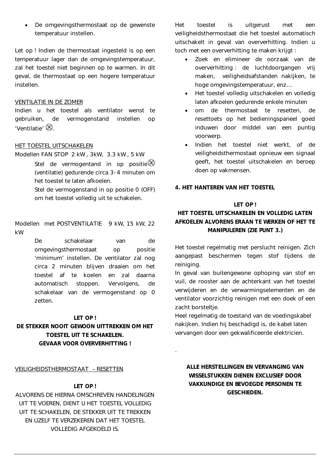De omgevingsthermostaat op de gewenste temperatuur instellen.

Let op ! Indien de thermostaat ingesteld is op een temperatuur lager dan de omgevingstemperatuur, zal het toestel niet beginnen op te warmen. In dit geval, de thermostaat op een hogere temperatuur instellen.

#### VENTILATIE IN DE ZOMER

Indien u het toestel als ventilator wenst te gebruiken, de vermogenstand instellen op 'Ventilatie'  $\mathscr{\mathbb{R}}$ 

#### HET TOESTEL UITSCHAKELEN

Modellen FAN STOP 2 kW , 3kW, 3.3 kW , 5 kW

Stel de vermogentand in op positie $\mathcal{B}$ (ventilatie) gedurende circa 3-4 minuten om het toestel te laten afkoelen.

Stel de vermogenstand in op positie 0 (OFF) om het toestel volledig uit te schakelen.

Modellen met POSTVENTILATIE 9 kW, 15 kW, 22 kW

> De schakelaar van de omgevingsthermostaat op positie *'minimum'* instellen. De ventilator zal nog circa 2 minuten blijven draaien om het toestel af te koelen en zal daarna automatisch stoppen. Vervolgens, de schakelaar van de vermogenstand op 0 zetten.

#### **LET OP !**

## **DE STEKKER NOOIT GEWOON UITTREKKEN OM HET TOESTEL UIT TE SCHAKELEN. GEVAAR VOOR OVERVERHITTING !**

VEILIGHEIDSTHERMOSTAAT – RESETTEN

#### **LET OP !**

ALVORENS DE HIERNA OMSCHREVEN HANDELINGEN UIT TE VOEREN, DIENT U HET TOESTEL VOLLEDIG UIT TE SCHAKELEN, DE STEKKER UIT TE TREKKEN EN UZELF TE VERZEKEREN DAT HET TOESTEL VOLLEDIG AFGEKOELD IS.

Het toestel is uitgerust met een veiligheidsthermostaat die het toestel automatisch uitschakelt in geval van oververhitting. Indien u toch met een oververhitting te maken krijgt :

- Zoek en elimineer de oorzaak van de oververhitting : de luchtdoorgangen vrij maken, veiligheidsafstanden nakijken, te hoge omgevingstemperatuur, enz…
- Het toestel volledig uitschakelen en volledig laten afkoelen gedurende enkele minuten
- om de thermostaat te resetten, de resettoets op het bedieningspaneel goed induwen door middel van een puntig voorwerp.
- Indien het toestel niet werkt, of de veiligheidsthermostaat opnieuw een signaal geeft, het toestel uitschakelen en beroep doen op vakmensen.

## **4. HET HANTEREN VAN HET TOESTEL**

## **LET OP !**

## **HET TOESTEL UITSCHAKELEN EN VOLLEDIG LATEN AFKOELEN ALVORENS ERAAN TE WERKEN OF HET TE MANIPULEREN (ZIE PUNT 3.)**

Het toestel regelmatig met perslucht reinigen. Zich aangepast beschermen tegen stof tijdens de reiniging.

In geval van buitengewone ophoping van stof en vuil, de rooster aan de achterkant van het toestel verwijderen en de verwarmingselementen en de ventilator voorzichtig reinigen met een doek of een zacht borsteltje.

Heel regelmatig de toestand van de voedingskabel nakijken. Indien hij beschadigd is, de kabel laten vervangen door een gekwalificeerde elektricien.

.

## **ALLE HERSTELLINGEN EN VERVANGING VAN WISSELSTUKKEN DIENEN EXCLUSIEF DOOR VAKKUNDIGE EN BEVOEGDE PERSONEN TE GESCHIEDEN.**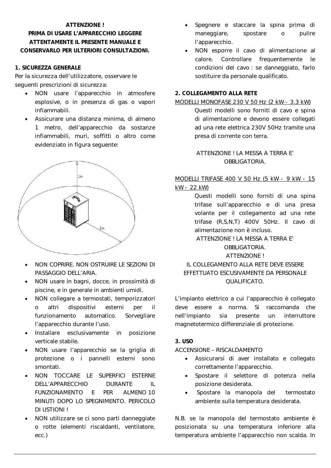#### **ATTENZIONE !**

## **PRIMA DI USARE L'APPARECCHIO LEGGERE ATTENTAMENTE IL PRESENTE MANUALE E CONSERVARLO PER ULTERIORI CONSULTAZIONI.**

#### **1. SICUREZZA GENERALE**

Per la sicurezza dell'utilizzatore, osservare le seguenti prescrizioni di sicurezza:

- NON usare l'apparecchio in atmosfere esplosive, o in presenza di gas o vapori infiammabili.
- Assicurare una distanza minima, di almeno 1 metro, dell'apparecchio da sostanze infiammabili, muri, soffitti o altro come evidenziato in figura seguente:



- NON COPRIRE. NON OSTRUIRE LE SEZIONI DI PASSAGGIO DELL'ARIA.
- NON usare in bagni, docce, in prossimità di piscine, e in generale in ambienti umidi.
- NON collegare a termostati, temporizzatori o altri dispositivi esterni per il funzionamento automatico. Sorvegliare l'apparecchio durante l'uso.
- Installare esclusivamente in posizione verticale stabile.
- NON usare l'apparecchio se la griglia di protezione o i pannelli esterni sono smontati.
- NON TOCCARE LE SUPERFICI ESTERNE DELL'APPARECCHIO DURANTE IL FUNZIONAMENTO E PER ALMENO 10 MINUTI DOPO LO SPEGNIMENTO. PERICOLO DI USTIONI !
- NON utilizzare se ci sono parti danneggiate o rotte (elementi riscaldanti, ventilatore, ecc.)
- Spegnere e staccare la spina prima di maneggiare, spostare o pulire l'apparecchio.
- NON esporre il cavo di alimentazione al calore. Controllare frequentemente le condizioni del cavo : se danneggiato, farlo sostituire da personale qualificato.

## **2. COLLEGAMENTO ALLA RETE**

#### MODELLI MONOFASE 230 V 50 Hz (2 kW - 3.3 kW)

Questi modelli sono forniti di cavo e spina di alimentazione e devono essere collegati ad una rete elettrica 230V 50Hz tramite una presa di corrente con terra.

ATTENZIONE ! LA MESSA A TERRA E' OBBLIGATORIA.

#### MODELLI TRIFASE 400 V 50 Hz (5 kW - 9 kW - 15 kW - 22 kW)

Questi modelli sono forniti di una spina trifase sull'apparecchio e di una presa volante per il collegamento ad una rete trifase (R,S,N,T) 400V 50Hz. Il cavo di alimentazione non è incluso.

ATTENZIONE ! LA MESSA A TERRA E'

## OBBLIGATORIA.

## ATTENZIONE ! IL COLLEGAMENTO ALLA RETE DEVE ESSERE EFFETTUATO ESCUSIVAMENTE DA PERSONALE QUALIFICATO.

L'impianto elettrico a cui l'apparecchio è collegato deve essere a norma. Si raccomanda che nell'impianto sia presente un interruttore magnetotermico differenziale di protezione.

## **3. USO**

## ACCENSIONE – RISCALDAMENTO

- Assicurarsi di aver installato e collegato correttamente l'apparecchio.
- Spostare il selettore di potenza nella posizione desiderata.
- Spostare la manopola del termostato ambiente sulla temperatura desiderata.

N.B. se la manopola del termostato ambiente è posizionata su una temperatura inferiore alla temperatura ambiente l'apparecchio non scalda. In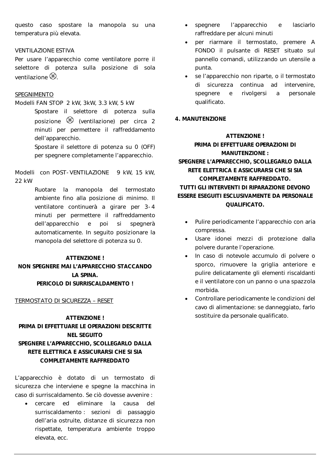questo caso spostare la manopola su una temperatura più elevata.

#### VENTILAZIONE ESTIVA

Per usare l'apparecchio come ventilatore porre il selettore di potenza sulla posizione di sola  $varilazione$ 

#### SPEGNIMENTO

#### Modelli FAN STOP 2 kW, 3kW, 3.3 kW, 5 kW

Spostare il selettore di potenza sulla posizione (ventilazione) per circa 2 minuti per permettere il raffreddamento dell'apparecchio.

Spostare il selettore di potenza su 0 (OFF) per spegnere completamente l'apparecchio.

## Modelli con POST-VENTILAZIONE 9 kW, 15 kW, 22 kW

Ruotare la manopola del termostato ambiente fino alla posizione di minimo. Il ventilatore continuerà a girare per 3-4 minuti per permettere il raffreddamento dell'apparecchio e poi si spegnerà automaticamente. In seguito posizionare la manopola del selettore di potenza su 0.

#### **ATTENZIONE !**

## **NON SPEGNERE MAI L'APPARECCHIO STACCANDO LA SPINA. PERICOLO DI SURRISCALDAMENTO !**

#### TERMOSTATO DI SICUREZZA – RESET

## **ATTENZIONE ! PRIMA DI EFFETTUARE LE OPERAZIONI DESCRITTE NEL SEGUITO SPEGNERE L'APPARECCHIO, SCOLLEGARLO DALLA RETE ELETTRICA E ASSICURARSI CHE SI SIA COMPLETAMENTE RAFFREDDATO**

L'apparecchio è dotato di un termostato di sicurezza che interviene e spegne la macchina in caso di surriscaldamento. Se ciò dovesse avvenire :

 cercare ed eliminare la causa del surriscaldamento : sezioni di passaggio dell'aria ostruite, distanze di sicurezza non rispettate, temperatura ambiente troppo elevata, ecc.

- spegnere l'apparecchio e lasciarlo raffreddare per alcuni minuti
- per riarmare il termostato, premere A FONDO il pulsante di RESET situato sul pannello comandi, utilizzando un utensile a punta.
- se l'apparecchio non riparte, o il termostato di sicurezza continua ad intervenire, spegnere e rivolgersi a personale qualificato.

#### **4. MANUTENZIONE**

## **ATTENZIONE ! PRIMA DI EFFETTUARE OPERAZIONI DI MANUTENZIONE : SPEGNERE L'APPARECCHIO, SCOLLEGARLO DALLA RETE ELETTRICA E ASSICURARSI CHE SI SIA COMPLETAMENTE RAFFREDDATO. TUTTI GLI INTERVENTI DI RIPARAZIONE DEVONO ESSERE ESEGUITI ESCLUSIVAMENTE DA PERSONALE QUALIFICATO.**

- Pulire periodicamente l'apparecchio con aria compressa.
- Usare idonei mezzi di protezione dalla polvere durante l'operazione.
- In caso di notevole accumulo di polvere o sporco, rimuovere la griglia anteriore e pulire delicatamente gli elementi riscaldanti e il ventilatore con un panno o una spazzola morbida.
- Controllare periodicamente le condizioni del cavo di alimentazione: se danneggiato, farlo sostituire da personale qualificato.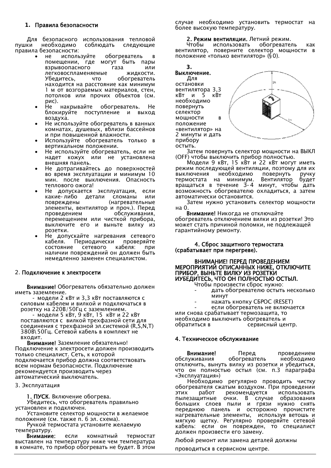#### **1. Правила безопасности**

Для безопасного использования тепловой<br>пушки необходимо соблюдать следующие соблюдать правила безопасности:

- используйте обогреватель в помещении, где могут быть пары взрывоопасного газа или легковоспламеняемые жидкости.<br>Убедитесь, что обогреватель что обогреватель находится на расстояние как минимум 1 м от возгораемых материалов, стен, потолков или прочих объектов (см. рис).
- Не накрывайте обогреватель. Не блокируйте поступление и выход воздуха.
- Не используйте обогреватель в ванных комнатах, душевых, вблизи бассейнов и при повышенной влажности.
- Используйте обогреватель только в вертикальном положении.
- Не используйте обогреватель, если не надет кожух или не установлена внешняя панель.
- Не дотрагивайтесь до поверхностей во время эксплуатации и минимум 10 мин. после выключения. Опасность теплового ожога!
- Не допускается эксплуатация, если<br>какие-либо детали сломаны или какие-либо повреждены (нагревательные элементы, вентилятор и проч.). Перед обслуживания. перемещением или чисткой прибора, выключите его и выньте вилку из розетки.
- Не допускайте нагревания сетевого кабеля. Периодически проверяйте состояние сетевого кабеля: при наличии повреждений он должен быть немедленно заменен специалистом.

#### 2. **Подключение к электросети**

**Внимание!** Обогреватель обязательно должен иметь заземление.

- модели 2 кВт и 3,3 кВт поставляются с силовым кабелем и вилкой и подключаться в розетку на 220В/50Гц с заземлением.

- модели 5 кВт, 9 кВт, 15 кВт и 22 кВт поставляются с вилкой трехфазной сети для соединения с трехфазной эл.системой (R,S,N,T) 380В\50Гц. Сетевой кабель в комплект не входит.

**Внимание!** Заземление обязательно! Подключение к электросети должен производить только специалист. Сеть, к которой подключается прибор должна соответствовать всем нормам безопасности. Подключение рекомендуется производить через автоматический выключатель.

#### 3. Эксплуатация

**1. ПУСК**. Включение обогрева. Убедитесь, что обогреватель правильно установлен и подключен.

Установите селектор мощности в желаемое положение (см. также п. 6 эл. схема).

Ручкой термостата установите желаемую температуру.

**Внимание:** если комнатный термостат выставлен на температуру ниже чем температура в комнате, то прибор обогревать не будет. В этом

случае необходимо установить термостат на более высокую температуру.

#### **2. Режим вентиляции.** Летний режим.

Чтобы использовать обогреватель как вентилятор, поверните селектор мощности в положение «только вентилятор» (§0).



Затем повернуть селектор мощности на ВЫКЛ (OFF) чтобы выключить прибор полностью.

Модели 9 кВт, 15 кВт и 22 кВт могут иметь режим последующей вентиляции, поэтому для их выключения необходимо повернуть ручку<br>термостата на минимум. Вентилятор будет термостата на минимум. вращаться в течение 3-4 минут, чтобы дать возможность обогревателю охладиться, а затем автоматически остановится.

Затем нужно установить селектор мощности на 0.

**Внимание!** Никогда не отключайте обогреватель отключением вилки из розетки! Это может стать причиной поломки, не подлежащей гарантийному ремонту.

#### **4. Сброс защитного термостата (срабатывает при перегреве).**

#### **ВНИМАНИЕ! ПЕРЕД ПРОВЕДЕНИЕМ МЕРОПРИЯТИЙ ОПИСАННЫХ НИЖЕ, ОТКЛЮЧИТЕ ПРИБОР, ВЫНЬТЕ ВИЛКУ ИЗ РОЗЕТКИ ИУБЕДИТЕСЬ, ЧТО ОН ПОЛНОСТЬЮ ОСТЫЛ.**

Чтобы произвести сброс нужно:

- дать обогревателю остыть несколько минут
- нажать кнопку СБРОС (RESET)

- если обогреватель не включается

или снова срабатывает термозащита, то необходимо выключить обогреватель и обратиться в сервисный центр.

#### **4. Техническое обслуживание**

**Внимание!** Перед проведением<br>1778 - Переватель необходимо обслуживания отключить, вынуть вилку из розетки и убедиться, что он полностью остыл (см. п.3 параграфа «Эксплуатация»)

Необходимо регулярно проводить чистку обогревателя сжатым воздухом. При проведении этих работ рекомендуется использовать пылезащитные очки. В случае образования больших слоев пыли и грязи нужно снять переднюю панель и осторожно прочистите нагревательные элементы, используя ветошь и мягкую щетку. Регулярно проверяйте сетевой кабель: если он поврежден, то специалист должен произвести его замену.

Любой ремонт или замена деталей должны

проводиться в сервисном центре.